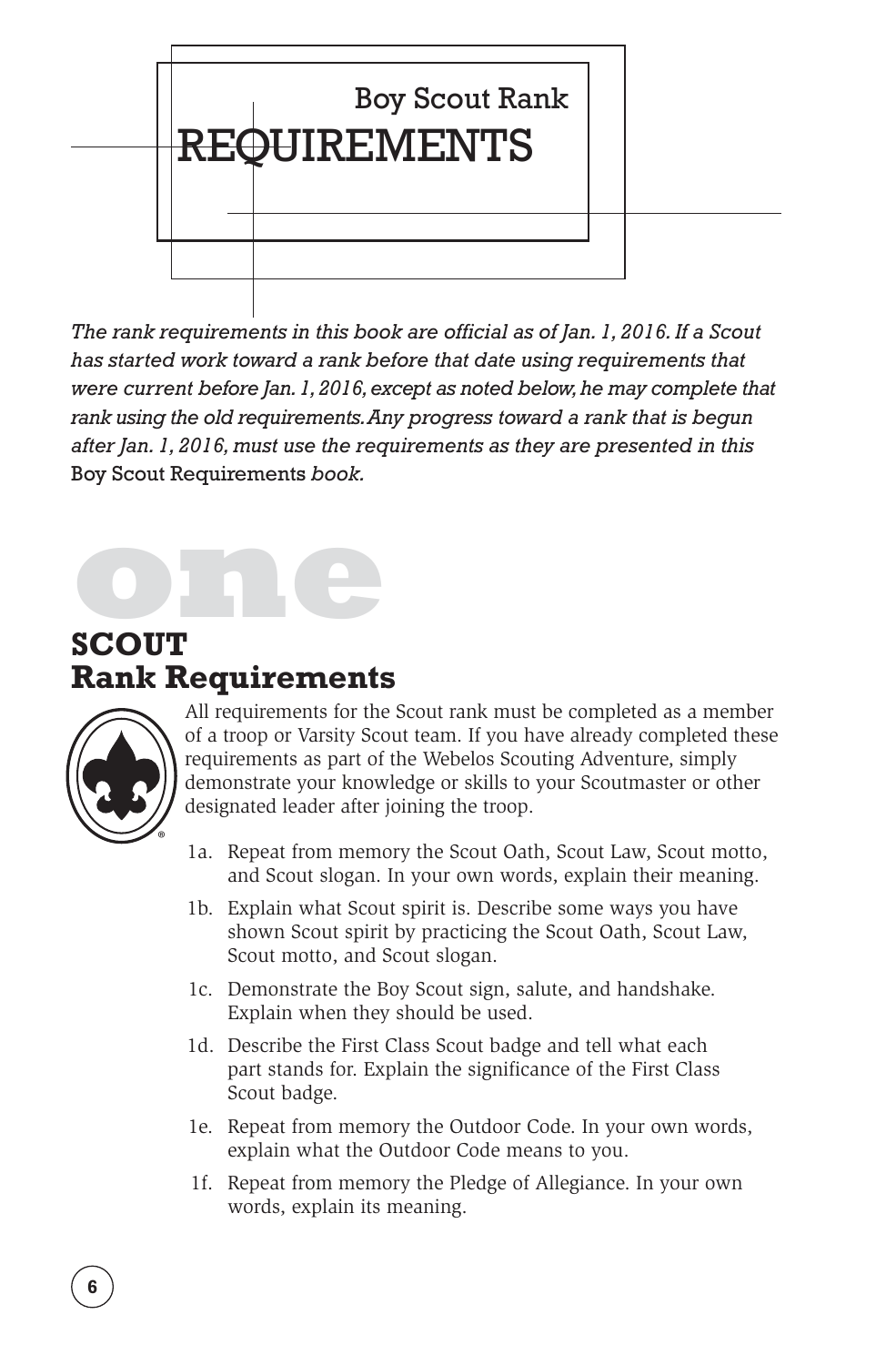

*The rank requirements in this book are official as of Jan. 1, 2016. If a Scout has started work toward a rank before that date using requirements that were current before Jan. 1, 2016, except as noted below, he may complete that rank using the old requirements. Any progress toward a rank that is begun after Jan. 1, 2016, must use the requirements as they are presented in this*  Boy Scout Requirements *book.*

**one**<br>**one**<br>**one SCOUT Rank Requirements**



All requirements for the Scout rank must be completed as a member of a troop or Varsity Scout team. If you have already completed these requirements as part of the Webelos Scouting Adventure, simply demonstrate your knowledge or skills to your Scoutmaster or other designated leader after joining the troop.

- 1a. Repeat from memory the Scout Oath, Scout Law, Scout motto, and Scout slogan. In your own words, explain their meaning.
- 1b. Explain what Scout spirit is. Describe some ways you have shown Scout spirit by practicing the Scout Oath, Scout Law, Scout motto, and Scout slogan.
- 1c. Demonstrate the Boy Scout sign, salute, and handshake. Explain when they should be used.
- 1d. Describe the First Class Scout badge and tell what each part stands for. Explain the significance of the First Class Scout badge.
- 1e. Repeat from memory the Outdoor Code. In your own words, explain what the Outdoor Code means to you.
- 1f. Repeat from memory the Pledge of Allegiance. In your own words, explain its meaning.